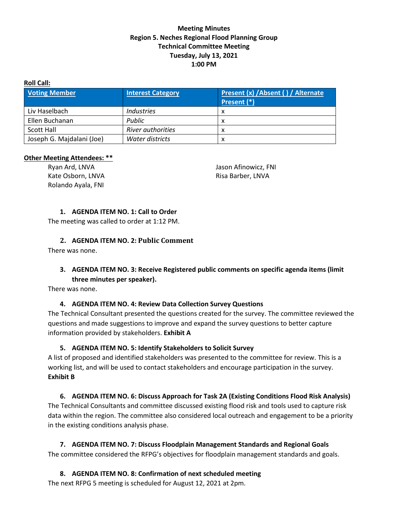#### **Meeting Minutes Region 5. Neches Regional Flood Planning Group Technical Committee Meeting Tuesday, July 13, 2021 1:00 PM**

#### **Roll Call:**

| <b>Voting Member</b>      | <b>Interest Category</b> | Present (x) / Absent () / Alternate<br>Present (*) |
|---------------------------|--------------------------|----------------------------------------------------|
| Liv Haselbach             | Industries               | x                                                  |
| Ellen Buchanan            | Public                   | x                                                  |
| <b>Scott Hall</b>         | <b>River authorities</b> | x                                                  |
| Joseph G. Majdalani (Joe) | Water districts          | х                                                  |

#### **Other Meeting Attendees: \*\***

Ryan Ard, LNVA Kate Osborn, LNVA Rolando Ayala, FNI

Jason Afinowicz, FNI Risa Barber, LNVA

#### **1. AGENDA ITEM NO. 1: Call to Order**

The meeting was called to order at 1:12 PM.

#### **2. AGENDA ITEM NO. 2: Public Comment**

There was none.

## **3. AGENDA ITEM NO. 3: Receive Registered public comments on specific agenda items (limit three minutes per speaker).**

There was none.

## **4. AGENDA ITEM NO. 4: Review Data Collection Survey Questions**

The Technical Consultant presented the questions created for the survey. The committee reviewed the questions and made suggestions to improve and expand the survey questions to better capture information provided by stakeholders. **Exhibit A**

#### **5. AGENDA ITEM NO. 5: Identify Stakeholders to Solicit Survey**

A list of proposed and identified stakeholders was presented to the committee for review. This is a working list, and will be used to contact stakeholders and encourage participation in the survey. **Exhibit B**

# **6. AGENDA ITEM NO. 6: Discuss Approach for Task 2A (Existing Conditions Flood Risk Analysis)**

The Technical Consultants and committee discussed existing flood risk and tools used to capture risk data within the region. The committee also considered local outreach and engagement to be a priority in the existing conditions analysis phase.

## **7. AGENDA ITEM NO. 7: Discuss Floodplain Management Standards and Regional Goals** The committee considered the RFPG's objectives for floodplain management standards and goals.

**8. AGENDA ITEM NO. 8: Confirmation of next scheduled meeting** The next RFPG 5 meeting is scheduled for August 12, 2021 at 2pm.